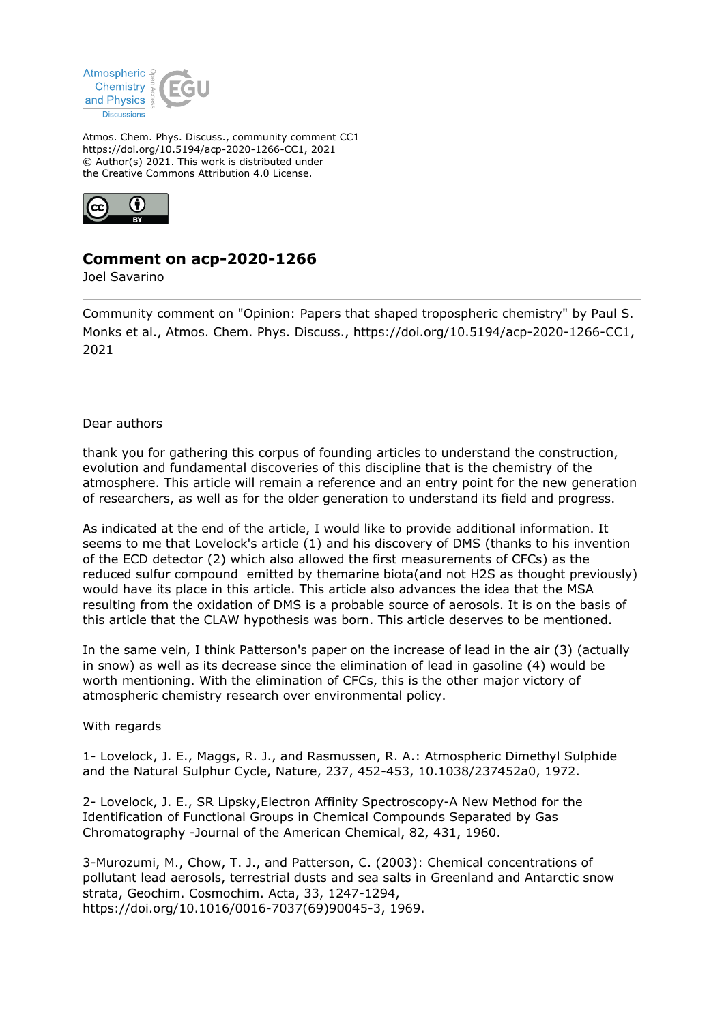

Atmos. Chem. Phys. Discuss., community comment CC1 https://doi.org/10.5194/acp-2020-1266-CC1, 2021 © Author(s) 2021. This work is distributed under the Creative Commons Attribution 4.0 License.



## **Comment on acp-2020-1266**

Joel Savarino

Community comment on "Opinion: Papers that shaped tropospheric chemistry" by Paul S. Monks et al., Atmos. Chem. Phys. Discuss., https://doi.org/10.5194/acp-2020-1266-CC1, 2021

## Dear authors

thank you for gathering this corpus of founding articles to understand the construction, evolution and fundamental discoveries of this discipline that is the chemistry of the atmosphere. This article will remain a reference and an entry point for the new generation of researchers, as well as for the older generation to understand its field and progress.

As indicated at the end of the article, I would like to provide additional information. It seems to me that Lovelock's article (1) and his discovery of DMS (thanks to his invention of the ECD detector (2) which also allowed the first measurements of CFCs) as the reduced sulfur compound emitted by themarine biota(and not H2S as thought previously) would have its place in this article. This article also advances the idea that the MSA resulting from the oxidation of DMS is a probable source of aerosols. It is on the basis of this article that the CLAW hypothesis was born. This article deserves to be mentioned.

In the same vein, I think Patterson's paper on the increase of lead in the air (3) (actually in snow) as well as its decrease since the elimination of lead in gasoline (4) would be worth mentioning. With the elimination of CFCs, this is the other major victory of atmospheric chemistry research over environmental policy.

## With regards

1- Lovelock, J. E., Maggs, R. J., and Rasmussen, R. A.: Atmospheric Dimethyl Sulphide and the Natural Sulphur Cycle, Nature, 237, 452-453, 10.1038/237452a0, 1972.

2- Lovelock, J. E., SR Lipsky,Electron Affinity Spectroscopy-A New Method for the Identification of Functional Groups in Chemical Compounds Separated by Gas Chromatography -Journal of the American Chemical, 82, 431, 1960.

3-Murozumi, M., Chow, T. J., and Patterson, C. (2003): Chemical concentrations of pollutant lead aerosols, terrestrial dusts and sea salts in Greenland and Antarctic snow strata, Geochim. Cosmochim. Acta, 33, 1247-1294, https://doi.org/10.1016/0016-7037(69)90045-3, 1969.